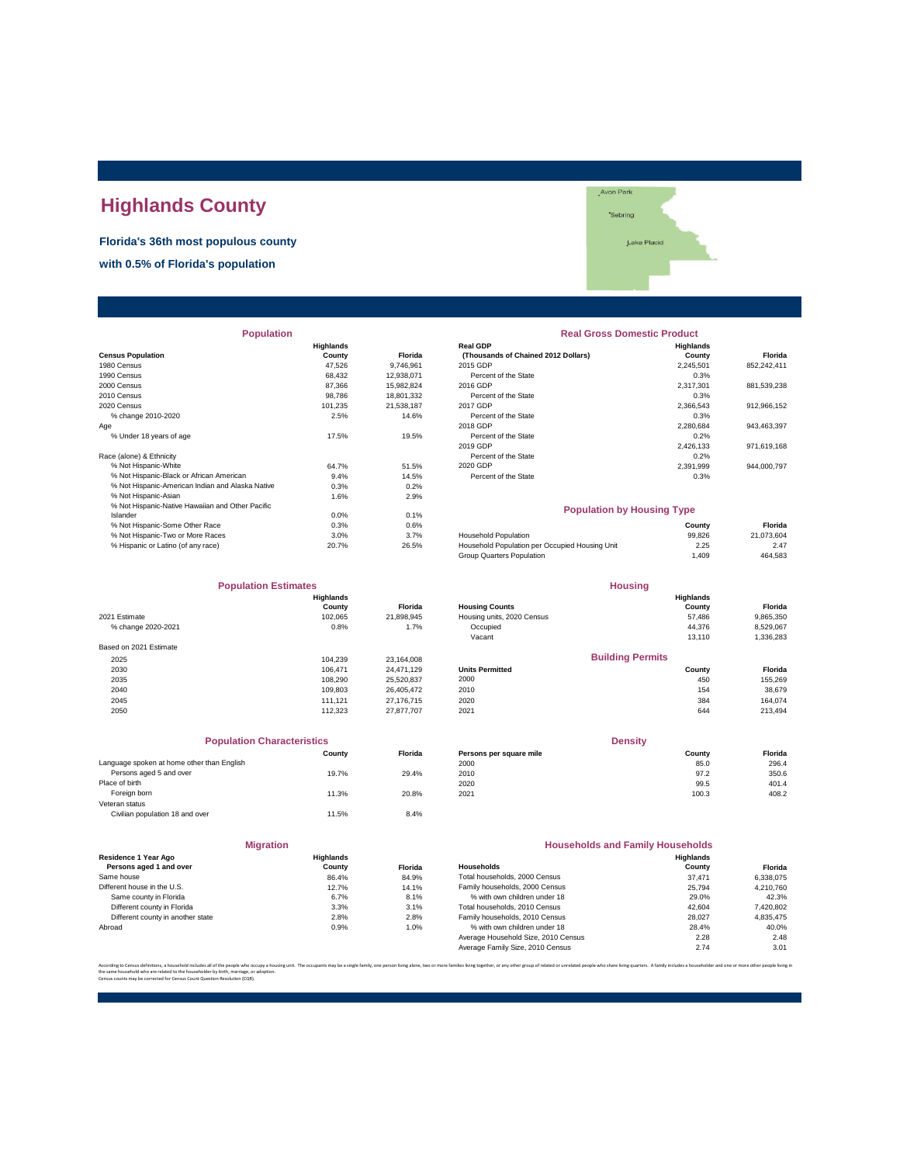## **Highlands County**

**Florida's 36th most populous county with 0.5% of Florida's population**

| 'Sebring    |  |
|-------------|--|
| Lake Placid |  |
|             |  |
|             |  |

Avon Park

| <b>Population</b>                                |           |                | <b>Real Gross Domestic Product</b>             |                  |             |
|--------------------------------------------------|-----------|----------------|------------------------------------------------|------------------|-------------|
|                                                  | Highlands |                | <b>Real GDP</b>                                | <b>Highlands</b> |             |
| <b>Census Population</b>                         | County    | <b>Florida</b> | (Thousands of Chained 2012 Dollars)            | County           | Florida     |
| 1980 Census                                      | 47.526    | 9,746,961      | 2015 GDP                                       | 2,245,501        | 852,242,411 |
| 1990 Census                                      | 68,432    | 12,938,071     | Percent of the State                           | 0.3%             |             |
| 2000 Census                                      | 87.366    | 15,982,824     | 2016 GDP                                       | 2,317,301        | 881,539,238 |
| 2010 Census                                      | 98,786    | 18,801,332     | Percent of the State                           | 0.3%             |             |
| 2020 Census                                      | 101,235   | 21,538,187     | 2017 GDP                                       | 2,366,543        | 912,966,152 |
| % change 2010-2020                               | 2.5%      | 14.6%          | Percent of the State                           | 0.3%             |             |
| Age                                              |           |                | 2018 GDP                                       | 2,280,684        | 943,463,397 |
| % Under 18 years of age                          | 17.5%     | 19.5%          | Percent of the State                           | 0.2%             |             |
|                                                  |           |                | 2019 GDP                                       | 2,426,133        | 971,619,168 |
| Race (alone) & Ethnicity                         |           |                | Percent of the State                           | 0.2%             |             |
| % Not Hispanic-White                             | 64.7%     | 51.5%          | 2020 GDP                                       | 2,391,999        | 944,000,797 |
| % Not Hispanic-Black or African American         | 9.4%      | 14.5%          | Percent of the State                           | 0.3%             |             |
| % Not Hispanic-American Indian and Alaska Native | 0.3%      | 0.2%           |                                                |                  |             |
| % Not Hispanic-Asian                             | 1.6%      | 2.9%           |                                                |                  |             |
| % Not Hispanic-Native Hawaiian and Other Pacific |           |                | <b>Population by Housing Type</b>              |                  |             |
| Islander                                         | 0.0%      | 0.1%           |                                                |                  |             |
| % Not Hispanic-Some Other Race                   | 0.3%      | 0.6%           |                                                | County           | Florida     |
| % Not Hispanic-Two or More Races                 | 3.0%      | 3.7%           | <b>Household Population</b>                    | 99,826           | 21,073,604  |
| % Hispanic or Latino (of any race)               | 20.7%     | 26.5%          | Household Population per Occupied Housing Unit | 2.25             | 2.47        |

|                        | <b>Population Estimates</b> |            |                        |
|------------------------|-----------------------------|------------|------------------------|
|                        | <b>Highlands</b><br>County  | Florida    | <b>Housing Counts</b>  |
| 2021 Estimate          | 102.065                     | 21.898.945 | Housing units, 20.     |
| % change 2020-2021     | 0.8%                        | 1.7%       | Occupied<br>Vacant     |
| Based on 2021 Estimate |                             |            |                        |
| 2025                   | 104.239                     | 23.164.008 |                        |
| 2030                   | 106.471                     | 24.471.129 | <b>Units Permitted</b> |
| 2035                   | 108.290                     | 25.520.837 | 2000                   |
| 2040                   | 109.803                     | 26.405.472 | 2010                   |
| 2045                   | 111.121                     | 27.176.715 | 2020                   |
| 2050                   | 112.323                     | 27.877.707 | 2021                   |

| <b>Population Characteristics</b>          |        |                |                         | <b>Density</b> |         |
|--------------------------------------------|--------|----------------|-------------------------|----------------|---------|
|                                            | County | <b>Florida</b> | Persons per square mile | County         | Florida |
| Language spoken at home other than English |        |                | 2000                    | 85.0           | 296.4   |
| Persons aged 5 and over                    | 19.7%  | 29.4%          | 2010                    | 97.2           | 350.6   |
| Place of birth                             |        |                | 2020                    | 99.5           | 401.4   |
| Foreign born                               | 11.3%  | 20.8%          | 2021                    | 100.3          | 408.2   |
| Veteran status                             |        |                |                         |                |         |
| Civilian population 18 and over            | 11.5%  | 8.4%           |                         |                |         |

|                                                 | <b>Migration</b>           |                |                     |
|-------------------------------------------------|----------------------------|----------------|---------------------|
| Residence 1 Year Ago<br>Persons aged 1 and over | <b>Highlands</b><br>County | <b>Florida</b> | Households          |
| Same house                                      | 86.4%                      | 84.9%          | <b>Total houser</b> |
| Different house in the U.S.                     | 12.7%                      | 14.1%          | Family house        |
| Same county in Florida                          | 6.7%                       | 8.1%           | % with ov           |
| Different county in Florida                     | 3.3%                       | 3.1%           | <b>Total houser</b> |
| Different county in another state               | 2.8%                       | 2.8%           | Family house        |
| Abroad                                          | 0.9%                       | 1.0%           | % with ov           |
|                                                 |                            |                | Average Hou         |

|                                                  | <b>Highlands</b> |                | <b>Real GDP</b>                                | Highlands                         |             |
|--------------------------------------------------|------------------|----------------|------------------------------------------------|-----------------------------------|-------------|
| <b>Census Population</b>                         | County           | <b>Florida</b> | (Thousands of Chained 2012 Dollars)            | County                            | Florida     |
| 1980 Census                                      | 47,526           | 9,746,961      | 2015 GDP                                       | 2,245,501                         | 852,242,411 |
| 1990 Census                                      | 68,432           | 12,938,071     | Percent of the State                           | 0.3%                              |             |
| 2000 Census                                      | 87,366           | 15,982,824     | 2016 GDP                                       | 2,317,301                         | 881,539,238 |
| 2010 Census                                      | 98.786           | 18,801,332     | Percent of the State                           | 0.3%                              |             |
| 2020 Census                                      | 101,235          | 21,538,187     | 2017 GDP                                       | 2,366,543                         | 912,966,152 |
| % change 2010-2020                               | 2.5%             | 14.6%          | Percent of the State                           | 0.3%                              |             |
| Age                                              |                  |                | 2018 GDP                                       | 2,280,684                         | 943,463,397 |
| % Under 18 years of age                          | 17.5%            | 19.5%          | Percent of the State                           | 0.2%                              |             |
|                                                  |                  |                | 2019 GDP                                       | 2,426,133                         | 971,619,168 |
| Race (alone) & Ethnicity                         |                  |                | Percent of the State                           | 0.2%                              |             |
| % Not Hispanic-White                             | 64.7%            | 51.5%          | 2020 GDP                                       | 2,391,999                         | 944,000,797 |
| % Not Hispanic-Black or African American         | 9.4%             | 14.5%          | Percent of the State                           | 0.3%                              |             |
| % Not Hispanic-American Indian and Alaska Native | 0.3%             | 0.2%           |                                                |                                   |             |
| % Not Hispanic-Asian                             | 1.6%             | 2.9%           |                                                |                                   |             |
| % Not Hispanic-Native Hawaiian and Other Pacific |                  |                |                                                | <b>Population by Housing Type</b> |             |
| Islander                                         | 0.0%             | 0.1%           |                                                |                                   |             |
| % Not Hispanic-Some Other Race                   | 0.3%             | 0.6%           |                                                | County                            | Florida     |
| % Not Hispanic-Two or More Races                 | 3.0%             | 3.7%           | <b>Household Population</b>                    | 99.826                            | 21,073,604  |
| % Hispanic or Latino (of any race)               | 20.7%            | 26.5%          | Household Population per Occupied Housing Unit | 2.25                              | 2.47        |
|                                                  |                  |                | Group Quarters Population                      | 1,409                             | 464,583     |
| <b>Population Estimates</b>                      |                  |                |                                                | <b>Housing</b>                    |             |
|                                                  | <b>Highlands</b> |                |                                                | Highlands                         |             |
|                                                  | County           | <b>Florida</b> | <b>Housing Counts</b>                          | County                            | Florida     |
| 2021 Estimate                                    | 102,065          | 21,898,945     | Housing units, 2020 Census                     | 57,486                            | 9,865,350   |
| % change 2020-2021                               | 0.8%             | 1.7%           | Occupied                                       | 44,376                            | 8,529,067   |
|                                                  |                  |                | Vacant                                         | 13,110                            | 1,336,283   |
| Based on 2021 Estimate                           |                  |                |                                                |                                   |             |
| 2025                                             | 104,239          | 23,164,008     |                                                | <b>Building Permits</b>           |             |
| 2030                                             | 106,471          | 24,471,129     | <b>Units Permitted</b>                         | County                            | Florida     |
| 2035                                             | 108,290          | 25,520,837     | 2000                                           | 450                               | 155,269     |
| 2040                                             | 109,803          | 26,405,472     | 2010                                           | 154                               | 38,679      |
| 2045                                             | 111,121          | 27,176,715     | 2020                                           | 384                               | 164,074     |
| 2050                                             | 112,323          | 27,877,707     | 2021                                           | 644                               | 213,494     |
|                                                  |                  |                |                                                |                                   |             |
| <b>Population Characteristics</b>                |                  |                |                                                | <b>Density</b>                    |             |
|                                                  | County           | Florida        | Persons per square mile                        | County                            | Florida     |
| Language spoken at home other than English       |                  |                | 2000                                           | 85.0                              | 296.4       |
| Persons aged 5 and over                          | 19.7%            | 29.4%          | 2010                                           | 97.2                              | 350.6       |
| Place of birth                                   |                  |                | 2020                                           | 99.5                              | 401.4       |
| Foreign born                                     | 11.3%            | 20.8%          | 2021                                           | 100.3                             | 408.2       |
|                                                  |                  |                |                                                |                                   |             |

|                                                 | <b>Migration</b>    |                | <b>Households and Family Households</b> |                            |           |
|-------------------------------------------------|---------------------|----------------|-----------------------------------------|----------------------------|-----------|
| Residence 1 Year Ago<br>Persons aged 1 and over | Highlands<br>County | <b>Florida</b> | <b>Households</b>                       | <b>Highlands</b><br>County | Florida   |
| Same house                                      | 86.4%               | 84.9%          | Total households, 2000 Census           | 37.471                     | 6,338,075 |
| Different house in the U.S.                     | 12.7%               | 14.1%          | Family households, 2000 Census          | 25.794                     | 4.210.760 |
| Same county in Florida                          | 6.7%                | 8.1%           | % with own children under 18            | 29.0%                      | 42.3%     |
| Different county in Florida                     | 3.3%                | 3.1%           | Total households, 2010 Census           | 42.604                     | 7,420,802 |
| Different county in another state               | 2.8%                | 2.8%           | Family households, 2010 Census          | 28,027                     | 4.835.475 |
| Abroad                                          | 0.9%                | 1.0%           | % with own children under 18            | 28.4%                      | 40.0%     |
|                                                 |                     |                | Average Household Size, 2010 Census     | 2.28                       | 2.48      |
|                                                 |                     |                | Average Family Size, 2010 Census        | 2.74                       | 3.01      |

According to Census definitions, a household includes all of the people who occupy a housing unit. The occupants may be a single family, one person living back, two or more families living together, or any other group of r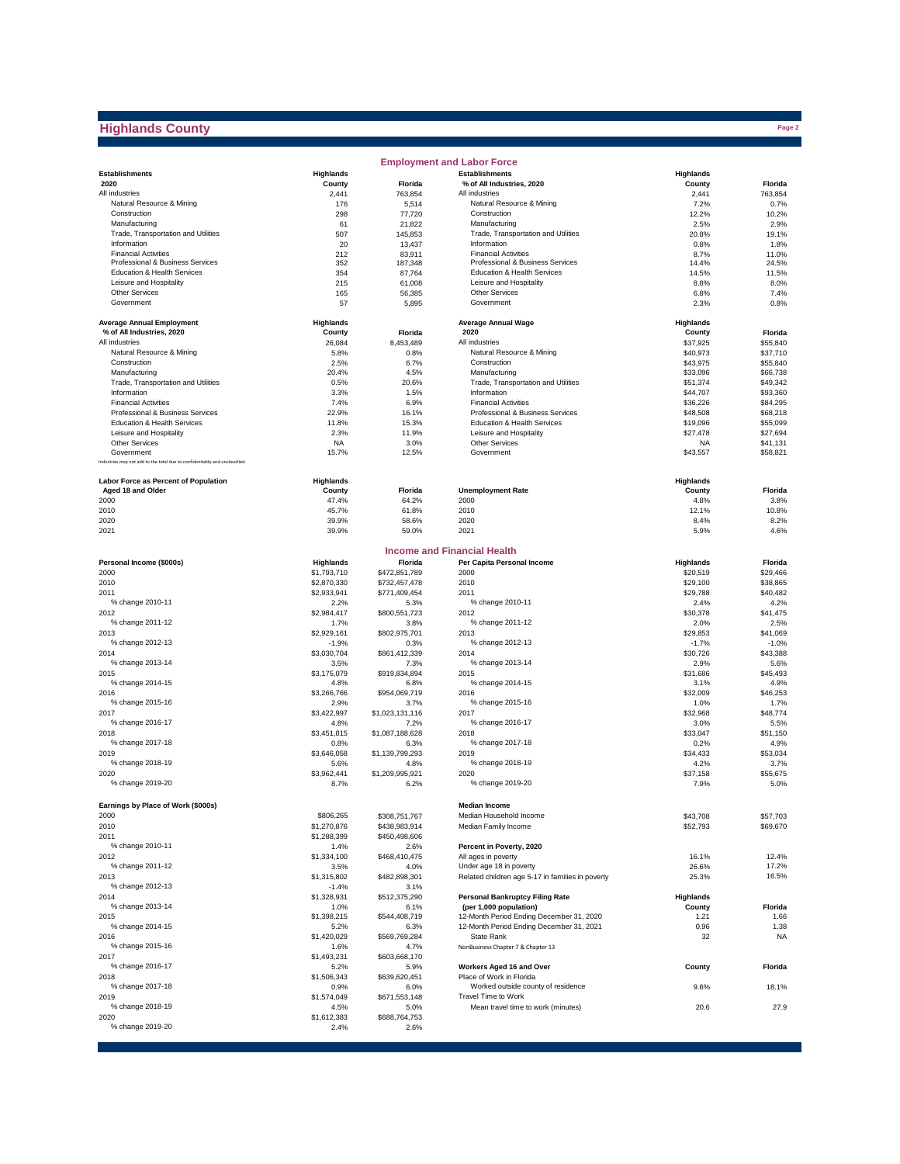## **Highlands County**

|                                                                                            |                        |                         | <b>Employment and Labor Force</b>                                |                      |                      |
|--------------------------------------------------------------------------------------------|------------------------|-------------------------|------------------------------------------------------------------|----------------------|----------------------|
| <b>Establishments</b>                                                                      | <b>Highlands</b>       |                         | <b>Establishments</b>                                            | Highlands            |                      |
| 2020                                                                                       | County                 | <b>Florida</b>          | % of All Industries, 2020                                        | County               | Florida              |
| All industries                                                                             | 2,441                  | 763,854                 | All industries                                                   | 2,441                | 763,854              |
| Natural Resource & Mining<br>Construction                                                  | 176<br>298             | 5,514<br>77,720         | Natural Resource & Mining<br>Construction                        | 7.2%<br>12.2%        | 0.7%<br>10.2%        |
| Manufacturing                                                                              | 61                     | 21,822                  | Manufacturing                                                    | 2.5%                 | 2.9%                 |
| Trade, Transportation and Utilities                                                        | 507                    | 145,853                 | Trade, Transportation and Utilities                              | 20.8%                | 19.1%                |
| Information                                                                                | 20                     | 13,437                  | Information                                                      | 0.8%                 | 1.8%                 |
| <b>Financial Activities</b>                                                                | 212                    | 83,911                  | <b>Financial Activities</b>                                      | 8.7%                 | 11.0%                |
| Professional & Business Services                                                           | 352                    | 187,348                 | Professional & Business Services                                 | 14.4%                | 24.5%                |
| Education & Health Services<br>Leisure and Hospitality                                     | 354<br>215             | 87,764<br>61,008        | Education & Health Services<br>Leisure and Hospitality           | 14.5%<br>8.8%        | 11.5%<br>8.0%        |
| <b>Other Services</b>                                                                      | 165                    | 56,385                  | <b>Other Services</b>                                            | 6.8%                 | 7.4%                 |
| Government                                                                                 | 57                     | 5,895                   | Government                                                       | 2.3%                 | 0.8%                 |
| <b>Average Annual Employment</b>                                                           | Highlands              |                         | <b>Average Annual Wage</b>                                       | <b>Highlands</b>     |                      |
| % of All Industries, 2020                                                                  | County                 | Florida                 | 2020                                                             | County               | Florida              |
| All industries                                                                             | 26,084                 | 8,453,489               | All industries                                                   | \$37,925             | \$55,840             |
| Natural Resource & Mining                                                                  | 5.8%                   | 0.8%                    | Natural Resource & Mining                                        | \$40,973             | \$37,710             |
| Construction                                                                               | 2.5%                   | 6.7%                    | Construction                                                     | \$43,975             | \$55,840             |
| Manufacturing                                                                              | 20.4%                  | 4.5%                    | Manufacturing                                                    | \$33,096             | \$66,738             |
| Trade, Transportation and Utilities<br>Information                                         | 0.5%<br>3.3%           | 20.6%<br>1.5%           | Trade, Transportation and Utilities<br>Information               | \$51,374<br>\$44,707 | \$49,342<br>\$93,360 |
| <b>Financial Activities</b>                                                                | 7.4%                   | 6.9%                    | <b>Financial Activities</b>                                      | \$36,226             | \$84,295             |
| Professional & Business Services                                                           | 22.9%                  | 16.1%                   | Professional & Business Services                                 | \$48,508             | \$68,218             |
| Education & Health Services                                                                | 11.8%                  | 15.3%                   | Education & Health Services                                      | \$19,096             | \$55,099             |
| Leisure and Hospitality                                                                    | 2.3%                   | 11.9%                   | Leisure and Hospitality                                          | \$27,478             | \$27,694             |
| <b>Other Services</b>                                                                      | <b>NA</b>              | 3.0%                    | <b>Other Services</b>                                            | <b>NA</b>            | \$41,131             |
| Government<br>Industries may not add to the total due to confidentiality and unclassified. | 15.7%                  | 12.5%                   | Government                                                       | \$43,557             | \$58,821             |
|                                                                                            |                        |                         |                                                                  |                      |                      |
| Labor Force as Percent of Population                                                       | Highlands              |                         |                                                                  | Highlands            |                      |
| Aged 18 and Older<br>2000                                                                  | County<br>47.4%        | Florida<br>64.2%        | <b>Unemployment Rate</b><br>2000                                 | County<br>4.8%       | Florida<br>3.8%      |
| 2010                                                                                       | 45.7%                  | 61.8%                   | 2010                                                             | 12.1%                | 10.8%                |
| 2020                                                                                       | 39.9%                  | 58.6%                   | 2020                                                             | 8.4%                 | 8.2%                 |
| 2021                                                                                       | 39.9%                  | 59.0%                   | 2021                                                             | 5.9%                 | 4.6%                 |
|                                                                                            |                        |                         |                                                                  |                      |                      |
| Personal Income (\$000s)                                                                   | Highlands              | Florida                 | <b>Income and Financial Health</b><br>Per Capita Personal Income | Highlands            | Florida              |
| 2000                                                                                       | \$1,793,710            | \$472,851,789           | 2000                                                             | \$20,519             | \$29,466             |
| 2010                                                                                       | \$2,870,330            | \$732,457,478           | 2010                                                             | \$29,100             | \$38,865             |
| 2011                                                                                       | \$2,933,941            | \$771,409,454           | 2011                                                             | \$29,788             | \$40,482             |
| % change 2010-11                                                                           | 2.2%                   | 5.3%                    | % change 2010-11                                                 | 2.4%                 | 4.2%                 |
| 2012                                                                                       | \$2,984,417            | \$800,551,723           | 2012                                                             | \$30,378             | \$41,475             |
| % change 2011-12                                                                           | 1.7%                   | 3.8%                    | % change 2011-12                                                 | 2.0%                 | 2.5%                 |
| 2013<br>% change 2012-13                                                                   | \$2,929,161<br>$-1.9%$ | \$802,975,701<br>0.3%   | 2013<br>% change 2012-13                                         | \$29,853<br>$-1.7%$  | \$41,069<br>$-1.0%$  |
| 2014                                                                                       | \$3,030,704            | \$861,412,339           | 2014                                                             | \$30,726             | \$43,388             |
| % change 2013-14                                                                           | 3.5%                   | 7.3%                    | % change 2013-14                                                 | 2.9%                 | 5.6%                 |
| 2015                                                                                       | \$3,175,079            | \$919,834,894           | 2015                                                             | \$31,686             | \$45,493             |
| % change 2014-15                                                                           | 4.8%                   | 6.8%                    | % change 2014-15                                                 | 3.1%                 | 4.9%                 |
| 2016                                                                                       | \$3,266,766            | \$954,069,719           | 2016                                                             | \$32,009             | \$46,253             |
| % change 2015-16                                                                           | 2.9%<br>\$3,422,997    | 3.7%                    | % change 2015-16<br>2017                                         | 1.0%<br>\$32,968     | 1.7%                 |
| 2017<br>% change 2016-17                                                                   | 4.8%                   | \$1,023,131,116<br>7.2% | % change 2016-17                                                 | 3.0%                 | \$48,774<br>5.5%     |
| 2018                                                                                       | \$3,451,815            | \$1,087,188,628         | 2018                                                             | \$33,047             | \$51,150             |
| % change 2017-18                                                                           | 0.8%                   | 6.3%                    | % change 2017-18                                                 | 0.2%                 | 4.9%                 |
| 2019                                                                                       | \$3,646,058            | \$1,139,799,293         | 2019                                                             | \$34,433             | \$53.034             |
| % change 2018-19                                                                           | 5.6%                   | 4.8%                    | % change 2018-19                                                 | 4.2%                 | 3.7%                 |
| 2020<br>% change 2019-20                                                                   | \$3,962,441<br>8.7%    | \$1,209,995,921<br>6.2% | 2020<br>% change 2019-20                                         | \$37,158<br>7.9%     | \$55,675<br>5.0%     |
|                                                                                            |                        |                         |                                                                  |                      |                      |
| Earnings by Place of Work (\$000s)                                                         |                        |                         | <b>Median Income</b>                                             |                      |                      |
| 2000                                                                                       | \$806,265              | \$308,751,767           | Median Household Income                                          | \$43,708             | \$57,703             |
| 2010                                                                                       | \$1,270,876            | \$438,983,914           | Median Family Income                                             | \$52,793             | \$69,670             |
| 2011                                                                                       | \$1,288,399            | \$450,498,606           |                                                                  |                      |                      |
| % change 2010-11<br>2012                                                                   | 1.4%<br>\$1,334,100    | 2.6%<br>\$468,410,475   | Percent in Poverty, 2020<br>All ages in poverty                  | 16.1%                | 12.4%                |
| % change 2011-12                                                                           | 3.5%                   | 4.0%                    | Under age 18 in poverty                                          | 26.6%                | 17.2%                |
| 2013                                                                                       | \$1,315,802            | \$482,898,301           | Related children age 5-17 in families in poverty                 | 25.3%                | 16.5%                |
| % change 2012-13                                                                           | $-1.4%$                | 3.1%                    |                                                                  |                      |                      |
| 2014                                                                                       | \$1,328,931            | \$512,375,290           | <b>Personal Bankruptcy Filing Rate</b>                           | <b>Highlands</b>     |                      |
| % change 2013-14                                                                           | 1.0%                   | 6.1%                    | (per 1,000 population)                                           | County               | Florida              |
| 2015<br>% change 2014-15                                                                   | \$1,398,215            | \$544,408,719           | 12-Month Period Ending December 31, 2020                         | 1.21                 | 1.66                 |
| 2016                                                                                       | 5.2%<br>\$1,420,029    | 6.3%<br>\$569,769,284   | 12-Month Period Ending December 31, 2021<br>State Rank           | 0.96<br>32           | 1.38<br><b>NA</b>    |
| % change 2015-16                                                                           | 1.6%                   | 4.7%                    | NonBusiness Chapter 7 & Chapter 13                               |                      |                      |
| 2017                                                                                       | \$1,493,231            | \$603,668,170           |                                                                  |                      |                      |
| % change 2016-17                                                                           | 5.2%                   | 5.9%                    | Workers Aged 16 and Over                                         | County               | Florida              |
| 2018                                                                                       | \$1,506,343            | \$639,620,451           | Place of Work in Florida                                         |                      |                      |
| % change 2017-18                                                                           | 0.9%                   | 6.0%                    | Worked outside county of residence                               | 9.6%                 | 18.1%                |
| 2019<br>% change 2018-19                                                                   | \$1,574,049            | \$671,553,148           | Travel Time to Work                                              |                      |                      |
| 2020                                                                                       | 4.5%<br>\$1,612,383    | 5.0%<br>\$688,764,753   | Mean travel time to work (minutes)                               | 20.6                 | 27.9                 |
| % change 2019-20                                                                           | 2.4%                   | 2.6%                    |                                                                  |                      |                      |